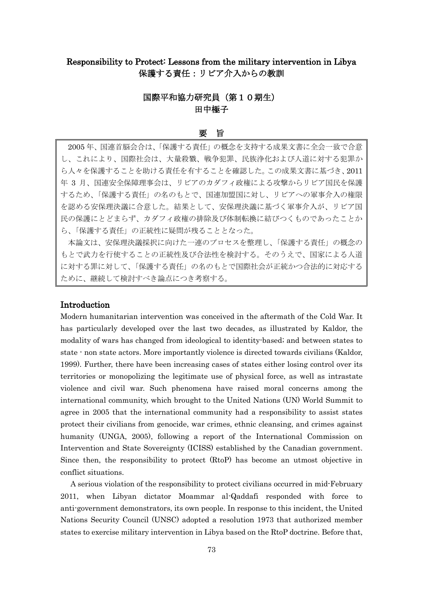# Responsibility to Protect: Lessons from the military intervention in Libya 保護する責任:リビア介入からの教訓

## 国際平和協力研究員(第10期生) 田中極子

#### 要 旨

2005 年、国連首脳会合は、「保護する責任」の概念を支持する成果文書に全会一致で合意 し、これにより、国際社会は、大量殺戮、戦争犯罪、民族浄化および人道に対する犯罪か ら人々を保護することを助ける責任を有することを確認した。この成果文書に基づき、2011 年 3 月、国連安全保障理事会は、リビアのカダフィ政権による攻撃からリビア国民を保護 するため、「保護する責任」の名のもとで、国連加盟国に対し、リビアへの軍事介入の権限 を認める安保理決議に合意した。結果として、安保理決議に基づく軍事介入が、リビア国 民の保護にとどまらず、カダフィ政権の排除及び体制転換に結びつくものであったことか ら、「保護する責任」の正統性に疑問が残ることとなった。

本論文は、安保理決議採択に向けた一連のプロセスを整理し、「保護する責任」の概念の もとで武力を行使することの正統性及び合法性を検討する。そのうえで、国家による人道 に対する罪に対して、「保護する責任」の名のもとで国際社会が正統かつ合法的に対応する ために、継続して検討すべき論点につき考察する。

## Introduction

Modern humanitarian intervention was conceived in the aftermath of the Cold War. It has particularly developed over the last two decades, as illustrated by Kaldor, the modality of wars has changed from ideological to identity-based; and between states to state - non state actors. More importantly violence is directed towards civilians (Kaldor, 1999). Further, there have been increasing cases of states either losing control over its territories or monopolizing the legitimate use of physical force, as well as intrastate violence and civil war. Such phenomena have raised moral concerns among the international community, which brought to the United Nations (UN) World Summit to agree in 2005 that the international community had a responsibility to assist states protect their civilians from genocide, war crimes, ethnic cleansing, and crimes against humanity (UNGA, 2005), following a report of the International Commission on Intervention and State Sovereignty (ICISS) established by the Canadian government. Since then, the responsibility to protect (RtoP) has become an utmost objective in conflict situations.

A serious violation of the responsibility to protect civilians occurred in mid-February 2011, when Libyan dictator Moammar al-Qaddafi responded with force to anti-government demonstrators, its own people. In response to this incident, the United Nations Security Council (UNSC) adopted a resolution 1973 that authorized member states to exercise military intervention in Libya based on the RtoP doctrine. Before that,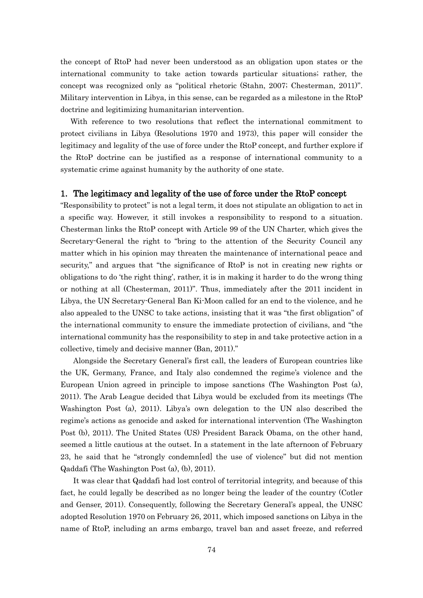the concept of RtoP had never been understood as an obligation upon states or the international community to take action towards particular situations; rather, the concept was recognized only as "political rhetoric (Stahn, 2007; Chesterman, 2011)". Military intervention in Libya, in this sense, can be regarded as a milestone in the RtoP doctrine and legitimizing humanitarian intervention.

With reference to two resolutions that reflect the international commitment to protect civilians in Libya (Resolutions 1970 and 1973), this paper will consider the legitimacy and legality of the use of force under the RtoP concept, and further explore if the RtoP doctrine can be justified as a response of international community to a systematic crime against humanity by the authority of one state.

## 1. The legitimacy and legality of the use of force under the RtoP concept

"Responsibility to protect" is not a legal term, it does not stipulate an obligation to act in a specific way. However, it still invokes a responsibility to respond to a situation. Chesterman links the RtoP concept with Article 99 of the UN Charter, which gives the Secretary-General the right to "bring to the attention of the Security Council any matter which in his opinion may threaten the maintenance of international peace and security," and argues that "the significance of RtoP is not in creating new rights or obligations to do 'the right thing', rather, it is in making it harder to do the wrong thing or nothing at all (Chesterman, 2011)". Thus, immediately after the 2011 incident in Libya, the UN Secretary-General Ban Ki-Moon called for an end to the violence, and he also appealed to the UNSC to take actions, insisting that it was "the first obligation" of the international community to ensure the immediate protection of civilians, and "the international community has the responsibility to step in and take protective action in a collective, timely and decisive manner (Ban, 2011)."

Alongside the Secretary General's first call, the leaders of European countries like the UK, Germany, France, and Italy also condemned the regime's violence and the European Union agreed in principle to impose sanctions (The Washington Post (a), 2011). The Arab League decided that Libya would be excluded from its meetings (The Washington Post (a), 2011). Libya's own delegation to the UN also described the regime's actions as genocide and asked for international intervention (The Washington Post (b), 2011). The United States (US) President Barack Obama, on the other hand, seemed a little cautious at the outset. In a statement in the late afternoon of February 23, he said that he "strongly condemn[ed] the use of violence" but did not mention Qaddafi (The Washington Post (a), (b), 2011).

It was clear that Qaddafi had lost control of territorial integrity, and because of this fact, he could legally be described as no longer being the leader of the country (Cotler and Genser, 2011). Consequently, following the Secretary General's appeal, the UNSC adopted Resolution 1970 on February 26, 2011, which imposed sanctions on Libya in the name of RtoP, including an arms embargo, travel ban and asset freeze, and referred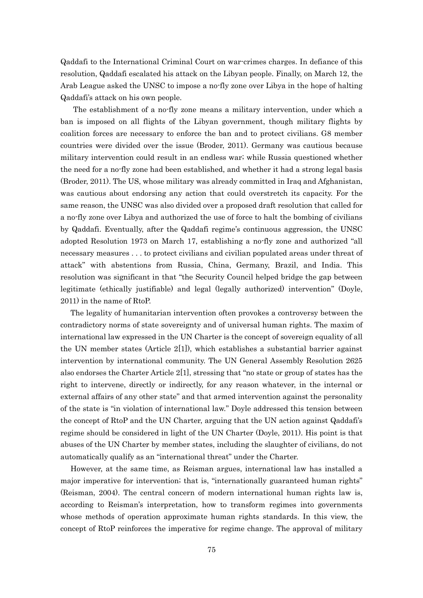Qaddafi to the International Criminal Court on war-crimes charges. In defiance of this resolution, Qaddafi escalated his attack on the Libyan people. Finally, on March 12, the Arab League asked the UNSC to impose a no-fly zone over Libya in the hope of halting Qaddafi's attack on his own people.

The establishment of a no-fly zone means a military intervention, under which a ban is imposed on all flights of the Libyan government, though military flights by coalition forces are necessary to enforce the ban and to protect civilians. G8 member countries were divided over the issue (Broder, 2011). Germany was cautious because military intervention could result in an endless war; while Russia questioned whether the need for a no-fly zone had been established, and whether it had a strong legal basis (Broder, 2011). The US, whose military was already committed in Iraq and Afghanistan, was cautious about endorsing any action that could overstretch its capacity. For the same reason, the UNSC was also divided over a proposed draft resolution that called for a no-fly zone over Libya and authorized the use of force to halt the bombing of civilians by Qaddafi. Eventually, after the Qaddafi regime's continuous aggression, the UNSC adopted Resolution 1973 on March 17, establishing a no-fly zone and authorized "all necessary measures . . . to protect civilians and civilian populated areas under threat of attack" with abstentions from Russia, China, Germany, Brazil, and India. This resolution was significant in that "the Security Council helped bridge the gap between legitimate (ethically justifiable) and legal (legally authorized) intervention" (Doyle, 2011) in the name of RtoP.

The legality of humanitarian intervention often provokes a controversy between the contradictory norms of state sovereignty and of universal human rights. The maxim of international law expressed in the UN Charter is the concept of sovereign equality of all the UN member states (Article  $2[1]$ ), which establishes a substantial barrier against intervention by international community. The UN General Assembly Resolution 2625 also endorses the Charter Article  $2[1]$ , stressing that "no state or group of states has the right to intervene, directly or indirectly, for any reason whatever, in the internal or external affairs of any other state" and that armed intervention against the personality of the state is "in violation of international law." Doyle addressed this tension between the concept of RtoP and the UN Charter, arguing that the UN action against Qaddafi's regime should be considered in light of the UN Charter (Doyle, 2011). His point is that abuses of the UN Charter by member states, including the slaughter of civilians, do not automatically qualify as an "international threat" under the Charter.

However, at the same time, as Reisman argues, international law has installed a major imperative for intervention; that is, "internationally guaranteed human rights" (Reisman, 2004). The central concern of modern international human rights law is, according to Reisman's interpretation, how to transform regimes into governments whose methods of operation approximate human rights standards. In this view, the concept of RtoP reinforces the imperative for regime change. The approval of military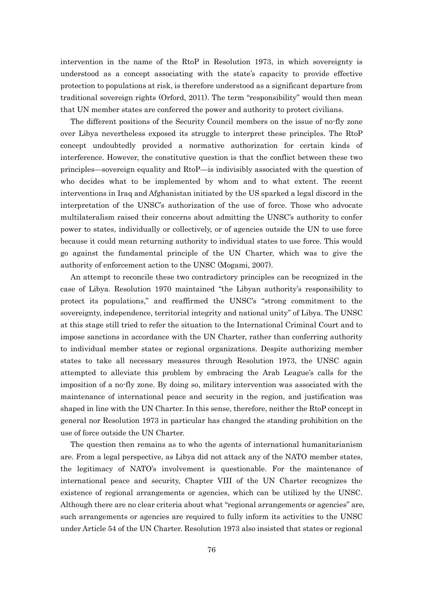intervention in the name of the RtoP in Resolution 1973, in which sovereignty is understood as a concept associating with the state's capacity to provide effective protection to populations at risk, is therefore understood as a significant departure from traditional sovereign rights (Orford, 2011). The term "responsibility" would then mean that UN member states are conferred the power and authority to protect civilians.

The different positions of the Security Council members on the issue of no-fly zone over Libya nevertheless exposed its struggle to interpret these principles. The RtoP concept undoubtedly provided a normative authorization for certain kinds of interference. However, the constitutive question is that the conflict between these two principles—sovereign equality and RtoP—is indivisibly associated with the question of who decides what to be implemented by whom and to what extent. The recent interventions in Iraq and Afghanistan initiated by the US sparked a legal discord in the interpretation of the UNSC's authorization of the use of force. Those who advocate multilateralism raised their concerns about admitting the UNSC's authority to confer power to states, individually or collectively, or of agencies outside the UN to use force because it could mean returning authority to individual states to use force. This would go against the fundamental principle of the UN Charter, which was to give the authority of enforcement action to the UNSC (Mogami, 2007).

An attempt to reconcile these two contradictory principles can be recognized in the case of Libya. Resolution 1970 maintained "the Libyan authority's responsibility to protect its populations," and reaffirmed the UNSC's "strong commitment to the sovereignty, independence, territorial integrity and national unity" of Libya. The UNSC at this stage still tried to refer the situation to the International Criminal Court and to impose sanctions in accordance with the UN Charter, rather than conferring authority to individual member states or regional organizations. Despite authorizing member states to take all necessary measures through Resolution 1973, the UNSC again attempted to alleviate this problem by embracing the Arab League's calls for the imposition of a no-fly zone. By doing so, military intervention was associated with the maintenance of international peace and security in the region, and justification was shaped in line with the UN Charter. In this sense, therefore, neither the RtoP concept in general nor Resolution 1973 in particular has changed the standing prohibition on the use of force outside the UN Charter.

The question then remains as to who the agents of international humanitarianism are. From a legal perspective, as Libya did not attack any of the NATO member states, the legitimacy of NATO's involvement is questionable. For the maintenance of international peace and security, Chapter VIII of the UN Charter recognizes the existence of regional arrangements or agencies, which can be utilized by the UNSC. Although there are no clear criteria about what "regional arrangements or agencies" are, such arrangements or agencies are required to fully inform its activities to the UNSC under Article 54 of the UN Charter. Resolution 1973 also insisted that states or regional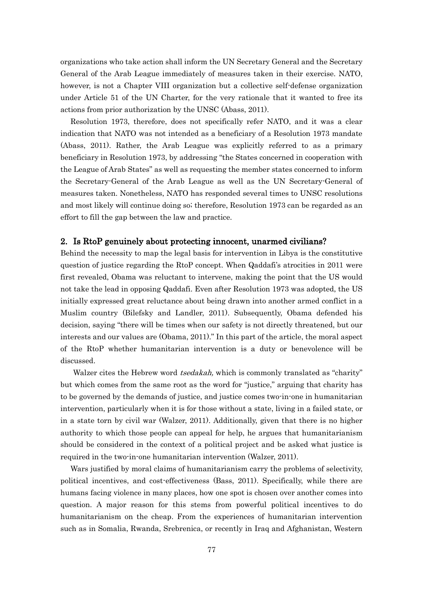organizations who take action shall inform the UN Secretary General and the Secretary General of the Arab League immediately of measures taken in their exercise. NATO, however, is not a Chapter VIII organization but a collective self-defense organization under Article 51 of the UN Charter, for the very rationale that it wanted to free its actions from prior authorization by the UNSC (Abass, 2011).

Resolution 1973, therefore, does not specifically refer NATO, and it was a clear indication that NATO was not intended as a beneficiary of a Resolution 1973 mandate (Abass, 2011). Rather, the Arab League was explicitly referred to as a primary beneficiary in Resolution 1973, by addressing "the States concerned in cooperation with the League of Arab States" as well as requesting the member states concerned to inform the Secretary-General of the Arab League as well as the UN Secretary-General of measures taken. Nonetheless, NATO has responded several times to UNSC resolutions and most likely will continue doing so; therefore, Resolution 1973 can be regarded as an effort to fill the gap between the law and practice.

## 2. Is RtoP genuinely about protecting innocent, unarmed civilians?

Behind the necessity to map the legal basis for intervention in Libya is the constitutive question of justice regarding the RtoP concept. When Qaddafi's atrocities in 2011 were first revealed, Obama was reluctant to intervene, making the point that the US would not take the lead in opposing Qaddafi. Even after Resolution 1973 was adopted, the US initially expressed great reluctance about being drawn into another armed conflict in a Muslim country (Bilefsky and Landler, 2011). Subsequently, Obama defended his decision, saying "there will be times when our safety is not directly threatened, but our interests and our values are (Obama, 2011)." In this part of the article, the moral aspect of the RtoP whether humanitarian intervention is a duty or benevolence will be discussed.

Walzer cites the Hebrew word *tsedakah*, which is commonly translated as "charity" but which comes from the same root as the word for "justice," arguing that charity has to be governed by the demands of justice, and justice comes two-in-one in humanitarian intervention, particularly when it is for those without a state, living in a failed state, or in a state torn by civil war (Walzer, 2011). Additionally, given that there is no higher authority to which those people can appeal for help, he argues that humanitarianism should be considered in the context of a political project and be asked what justice is required in the two-in-one humanitarian intervention (Walzer, 2011).

Wars justified by moral claims of humanitarianism carry the problems of selectivity, political incentives, and cost-effectiveness (Bass, 2011). Specifically, while there are humans facing violence in many places, how one spot is chosen over another comes into question. A major reason for this stems from powerful political incentives to do humanitarianism on the cheap. From the experiences of humanitarian intervention such as in Somalia, Rwanda, Srebrenica, or recently in Iraq and Afghanistan, Western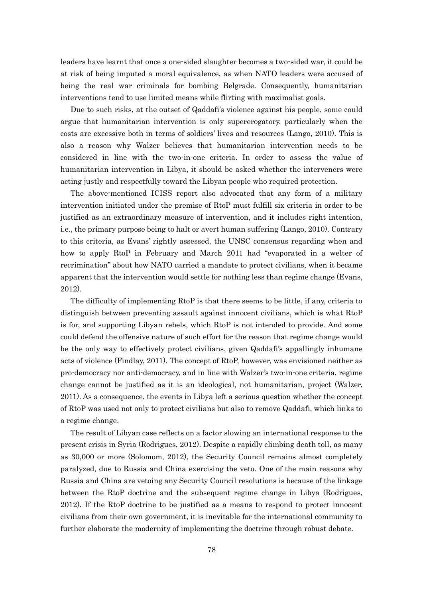leaders have learnt that once a one-sided slaughter becomes a two-sided war, it could be at risk of being imputed a moral equivalence, as when NATO leaders were accused of being the real war criminals for bombing Belgrade. Consequently, humanitarian interventions tend to use limited means while flirting with maximalist goals.

Due to such risks, at the outset of Qaddafi's violence against his people, some could argue that humanitarian intervention is only supererogatory, particularly when the costs are excessive both in terms of soldiers' lives and resources (Lango, 2010). This is also a reason why Walzer believes that humanitarian intervention needs to be considered in line with the two-in-one criteria. In order to assess the value of humanitarian intervention in Libya, it should be asked whether the interveners were acting justly and respectfully toward the Libyan people who required protection.

The above-mentioned ICISS report also advocated that any form of a military intervention initiated under the premise of RtoP must fulfill six criteria in order to be justified as an extraordinary measure of intervention, and it includes right intention, i.e., the primary purpose being to halt or avert human suffering (Lango, 2010). Contrary to this criteria, as Evans' rightly assessed, the UNSC consensus regarding when and how to apply RtoP in February and March 2011 had "evaporated in a welter of recrimination" about how NATO carried a mandate to protect civilians, when it became apparent that the intervention would settle for nothing less than regime change (Evans, 2012).

The difficulty of implementing RtoP is that there seems to be little, if any, criteria to distinguish between preventing assault against innocent civilians, which is what RtoP is for, and supporting Libyan rebels, which RtoP is not intended to provide. And some could defend the offensive nature of such effort for the reason that regime change would be the only way to effectively protect civilians, given Qaddafi's appallingly inhumane acts of violence (Findlay, 2011). The concept of RtoP, however, was envisioned neither as pro-democracy nor anti-democracy, and in line with Walzer's two-in-one criteria, regime change cannot be justified as it is an ideological, not humanitarian, project (Walzer, 2011). As a consequence, the events in Libya left a serious question whether the concept of RtoP was used not only to protect civilians but also to remove Qaddafi, which links to a regime change.

The result of Libyan case reflects on a factor slowing an international response to the present crisis in Syria (Rodrigues, 2012). Despite a rapidly climbing death toll, as many as 30,000 or more (Solomom, 2012), the Security Council remains almost completely paralyzed, due to Russia and China exercising the veto. One of the main reasons why Russia and China are vetoing any Security Council resolutions is because of the linkage between the RtoP doctrine and the subsequent regime change in Libya (Rodrigues, 2012). If the RtoP doctrine to be justified as a means to respond to protect innocent civilians from their own government, it is inevitable for the international community to further elaborate the modernity of implementing the doctrine through robust debate.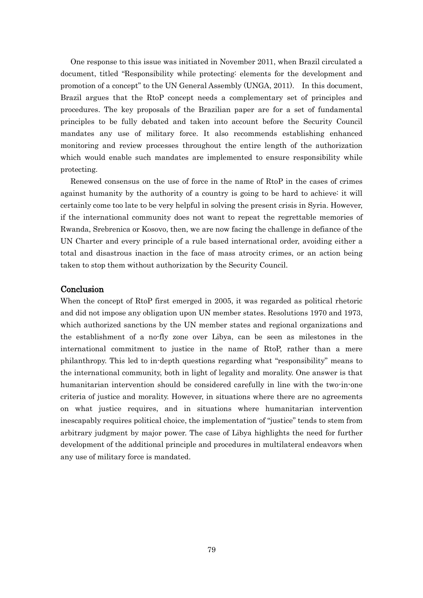One response to this issue was initiated in November 2011, when Brazil circulated a document, titled "Responsibility while protecting: elements for the development and promotion of a concept" to the UN General Assembly (UNGA, 2011). In this document, Brazil argues that the RtoP concept needs a complementary set of principles and procedures. The key proposals of the Brazilian paper are for a set of fundamental principles to be fully debated and taken into account before the Security Council mandates any use of military force. It also recommends establishing enhanced monitoring and review processes throughout the entire length of the authorization which would enable such mandates are implemented to ensure responsibility while protecting.

Renewed consensus on the use of force in the name of RtoP in the cases of crimes against humanity by the authority of a country is going to be hard to achieve: it will certainly come too late to be very helpful in solving the present crisis in Syria. However, if the international community does not want to repeat the regrettable memories of Rwanda, Srebrenica or Kosovo, then, we are now facing the challenge in defiance of the UN Charter and every principle of a rule based international order, avoiding either a total and disastrous inaction in the face of mass atrocity crimes, or an action being taken to stop them without authorization by the Security Council.

### Conclusion

When the concept of RtoP first emerged in 2005, it was regarded as political rhetoric and did not impose any obligation upon UN member states. Resolutions 1970 and 1973, which authorized sanctions by the UN member states and regional organizations and the establishment of a no-fly zone over Libya, can be seen as milestones in the international commitment to justice in the name of RtoP, rather than a mere philanthropy. This led to in-depth questions regarding what "responsibility" means to the international community, both in light of legality and morality. One answer is that humanitarian intervention should be considered carefully in line with the two-in-one criteria of justice and morality. However, in situations where there are no agreements on what justice requires, and in situations where humanitarian intervention inescapably requires political choice, the implementation of "justice" tends to stem from arbitrary judgment by major power. The case of Libya highlights the need for further development of the additional principle and procedures in multilateral endeavors when any use of military force is mandated.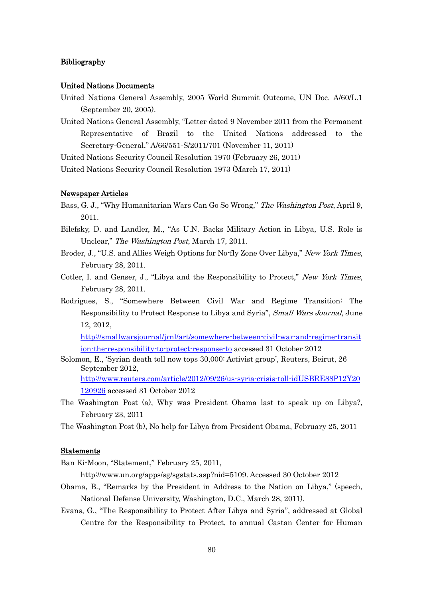## Bibliography

#### United Nations Documents

- United Nations General Assembly, 2005 World Summit Outcome, UN Doc. A/60/L.1 (September 20, 2005).
- United Nations General Assembly, "Letter dated 9 November 2011 from the Permanent Representative of Brazil to the United Nations addressed to the Secretary-General," A/66/551-S/2011/701 (November 11, 2011)

United Nations Security Council Resolution 1970 (February 26, 2011)

United Nations Security Council Resolution 1973 (March 17, 2011)

#### Newspaper Articles

- Bass, G. J., "Why Humanitarian Wars Can Go So Wrong," The Washington Post, April 9, 2011.
- Bilefsky, D. and Landler, M., "As U.N. Backs Military Action in Libya, U.S. Role is Unclear," The Washington Post, March 17, 2011.
- Broder, J., "U.S. and Allies Weigh Options for No-fly Zone Over Libya," New York Times, February 28, 2011.
- Cotler, I. and Genser, J., "Libya and the Responsibility to Protect," New York Times, February 28, 2011.
- Rodrigues, S., "Somewhere Between Civil War and Regime Transition: The Responsibility to Protect Response to Libya and Syria", Small Wars Journal, June 12, 2012,

[http://smallwarsjournal/jrnl/art/somewhere-between-civil-war-and-regime-transit](http://smallwarsjournal/jrnl/art/somewhere-between-civil-war-and-regime-transition-the-responsibility-to-protect-response-to) [ion-the-responsibility-to-protect-response-to](http://smallwarsjournal/jrnl/art/somewhere-between-civil-war-and-regime-transition-the-responsibility-to-protect-response-to) accessed 31 October 2012

- Solomon, E., 'Syrian death toll now tops 30,000: Activist group', Reuters, Beirut, 26 September 2012, [http://www.reuters.com/article/2012/09/26/us-syria-crisis-toll-idUSBRE88P12Y20](http://www.reuters.com/article/2012/09/26/us-syria-crisis-toll-idUSBRE88P12Y20120926) [120926](http://www.reuters.com/article/2012/09/26/us-syria-crisis-toll-idUSBRE88P12Y20120926) accessed 31 October 2012
- The Washington Post (a), Why was President Obama last to speak up on Libya?, February 23, 2011

The Washington Post (b), No help for Libya from President Obama, February 25, 2011

## Statements

Ban Ki-Moon, "Statement," February 25, 2011,

http://www.un.org/apps/sg/sgstats.asp?nid=5109. Accessed 30 October 2012

- Obama, B., "Remarks by the President in Address to the Nation on Libya," (speech, National Defense University, Washington, D.C., March 28, 2011).
- Evans, G., "The Responsibility to Protect After Libya and Syria", addressed at Global Centre for the Responsibility to Protect, to annual Castan Center for Human